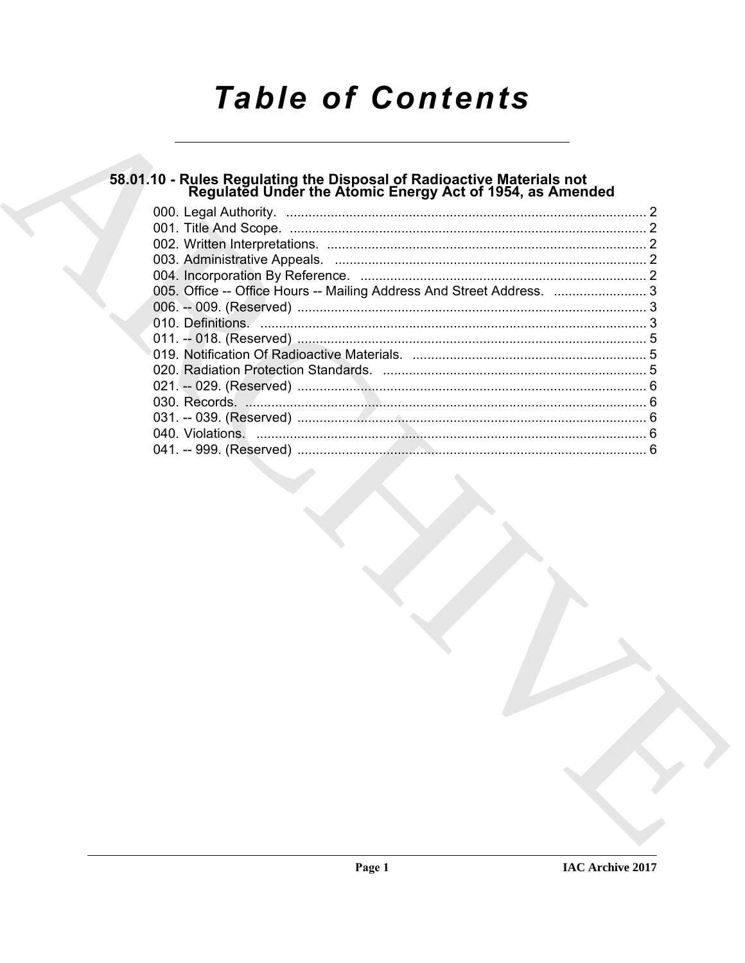# **Table of Contents**

# 58.01.10 - Rules Regulating the Disposal of Radioactive Materials not<br>Regulated Under the Atomic Energy Act of 1954, as Amended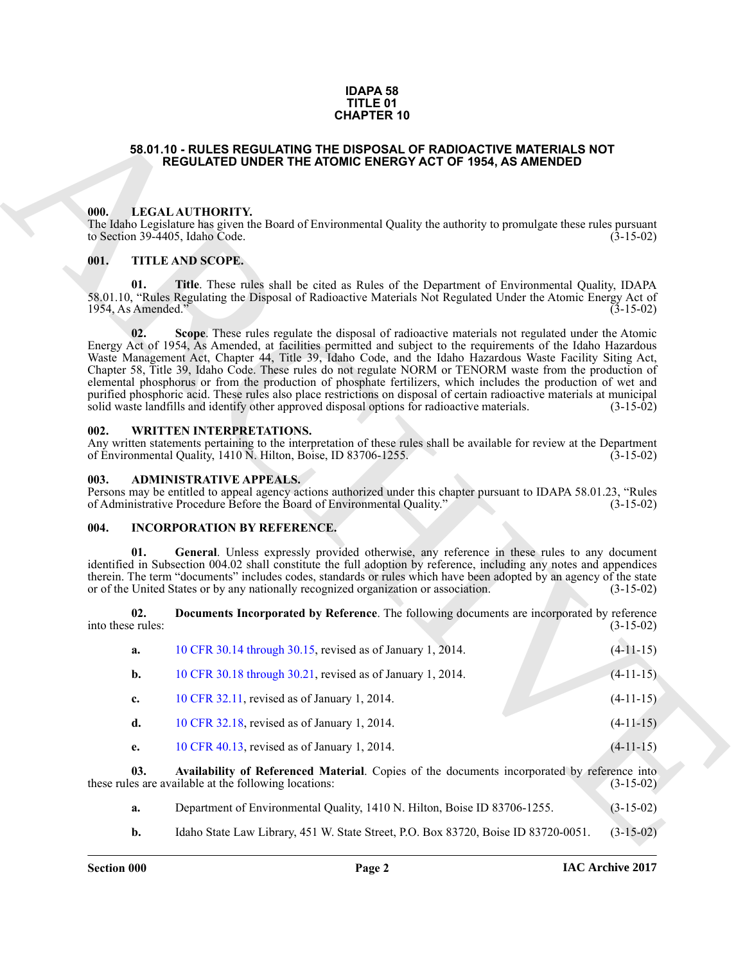### **IDAPA 58 TITLE 01 CHAPTER 10**

### <span id="page-1-0"></span>**58.01.10 - RULES REGULATING THE DISPOSAL OF RADIOACTIVE MATERIALS NOT REGULATED UNDER THE ATOMIC ENERGY ACT OF 1954, AS AMENDED**

### <span id="page-1-1"></span>**000. LEGAL AUTHORITY.**

### <span id="page-1-2"></span>**001. TITLE AND SCOPE.**

#### <span id="page-1-3"></span>**002. WRITTEN INTERPRETATIONS.**

### <span id="page-1-4"></span>**003. ADMINISTRATIVE APPEALS.**

### <span id="page-1-6"></span><span id="page-1-5"></span>**004. INCORPORATION BY REFERENCE.**

|      |                           | <b>CHAPTER 10</b>                                                                                                                                                                                                                                                                                                                                                                                                                                                                                                                                                                                                                                                                                                                                                                           |             |
|------|---------------------------|---------------------------------------------------------------------------------------------------------------------------------------------------------------------------------------------------------------------------------------------------------------------------------------------------------------------------------------------------------------------------------------------------------------------------------------------------------------------------------------------------------------------------------------------------------------------------------------------------------------------------------------------------------------------------------------------------------------------------------------------------------------------------------------------|-------------|
|      |                           | 58.01.10 - RULES REGULATING THE DISPOSAL OF RADIOACTIVE MATERIALS NOT<br><b>REGULATED UNDER THE ATOMIC ENERGY ACT OF 1954, AS AMENDED</b>                                                                                                                                                                                                                                                                                                                                                                                                                                                                                                                                                                                                                                                   |             |
| 000. |                           | LEGAL AUTHORITY.<br>The Idaho Legislature has given the Board of Environmental Quality the authority to promulgate these rules pursuant<br>to Section 39-4405, Idaho Code.                                                                                                                                                                                                                                                                                                                                                                                                                                                                                                                                                                                                                  | $(3-15-02)$ |
| 001. | 01.<br>1954, As Amended." | TITLE AND SCOPE.<br>Title. These rules shall be cited as Rules of the Department of Environmental Quality, IDAPA<br>58.01.10, "Rules Regulating the Disposal of Radioactive Materials Not Regulated Under the Atomic Energy Act of                                                                                                                                                                                                                                                                                                                                                                                                                                                                                                                                                          | $(3-15-02)$ |
|      | 02.                       | Scope. These rules regulate the disposal of radioactive materials not regulated under the Atomic<br>Energy Act of 1954, As Amended, at facilities permitted and subject to the requirements of the Idaho Hazardous<br>Waste Management Act, Chapter 44, Title 39, Idaho Code, and the Idaho Hazardous Waste Facility Siting Act,<br>Chapter 58, Title 39, Idaho Code. These rules do not regulate NORM or TENORM waste from the production of<br>elemental phosphorus or from the production of phosphate fertilizers, which includes the production of wet and<br>purified phosphoric acid. These rules also place restrictions on disposal of certain radioactive materials at municipal<br>solid waste landfills and identify other approved disposal options for radioactive materials. | $(3-15-02)$ |
| 002. |                           | <b>WRITTEN INTERPRETATIONS.</b><br>Any written statements pertaining to the interpretation of these rules shall be available for review at the Department<br>of Environmental Quality, 1410 N. Hilton, Boise, ID 83706-1255.                                                                                                                                                                                                                                                                                                                                                                                                                                                                                                                                                                | $(3-15-02)$ |
| 003. |                           | <b>ADMINISTRATIVE APPEALS.</b><br>Persons may be entitled to appeal agency actions authorized under this chapter pursuant to IDAPA 58.01.23, "Rules<br>of Administrative Procedure Before the Board of Environmental Quality."                                                                                                                                                                                                                                                                                                                                                                                                                                                                                                                                                              | $(3-15-02)$ |
| 004. |                           | <b>INCORPORATION BY REFERENCE.</b>                                                                                                                                                                                                                                                                                                                                                                                                                                                                                                                                                                                                                                                                                                                                                          |             |
|      | 01.                       | General. Unless expressly provided otherwise, any reference in these rules to any document<br>identified in Subsection 004.02 shall constitute the full adoption by reference, including any notes and appendices<br>therein. The term "documents" includes codes, standards or rules which have been adopted by an agency of the state<br>or of the United States or by any nationally recognized organization or association.                                                                                                                                                                                                                                                                                                                                                             | $(3-15-02)$ |
|      | 02.<br>into these rules:  | Documents Incorporated by Reference. The following documents are incorporated by reference                                                                                                                                                                                                                                                                                                                                                                                                                                                                                                                                                                                                                                                                                                  | $(3-15-02)$ |
|      | a.                        | 10 CFR 30.14 through 30.15, revised as of January 1, 2014.                                                                                                                                                                                                                                                                                                                                                                                                                                                                                                                                                                                                                                                                                                                                  | $(4-11-15)$ |
|      | b.                        | 10 CFR 30.18 through 30.21, revised as of January 1, 2014.                                                                                                                                                                                                                                                                                                                                                                                                                                                                                                                                                                                                                                                                                                                                  | $(4-11-15)$ |
|      | c.                        | 10 CFR 32.11, revised as of January 1, 2014.                                                                                                                                                                                                                                                                                                                                                                                                                                                                                                                                                                                                                                                                                                                                                | $(4-11-15)$ |
|      | d.                        | 10 CFR 32.18, revised as of January 1, 2014.                                                                                                                                                                                                                                                                                                                                                                                                                                                                                                                                                                                                                                                                                                                                                | $(4-11-15)$ |
|      | e.                        | 10 CFR 40.13, revised as of January 1, 2014.                                                                                                                                                                                                                                                                                                                                                                                                                                                                                                                                                                                                                                                                                                                                                | $(4-11-15)$ |
|      | 03.                       | Availability of Referenced Material. Copies of the documents incorporated by reference into<br>these rules are available at the following locations:                                                                                                                                                                                                                                                                                                                                                                                                                                                                                                                                                                                                                                        | $(3-15-02)$ |
|      | a.                        | Department of Environmental Quality, 1410 N. Hilton, Boise ID 83706-1255.                                                                                                                                                                                                                                                                                                                                                                                                                                                                                                                                                                                                                                                                                                                   | $(3-15-02)$ |
|      | b.                        | Idaho State Law Library, 451 W. State Street, P.O. Box 83720, Boise ID 83720-0051.                                                                                                                                                                                                                                                                                                                                                                                                                                                                                                                                                                                                                                                                                                          | $(3-15-02)$ |

- **a.** Department of Environmental Quality, 1410 N. Hilton, Boise ID 83706-1255. (3-15-02)
- **b.** Idaho State Law Library, 451 W. State Street, P.O. Box 83720, Boise ID 83720-0051. (3-15-02)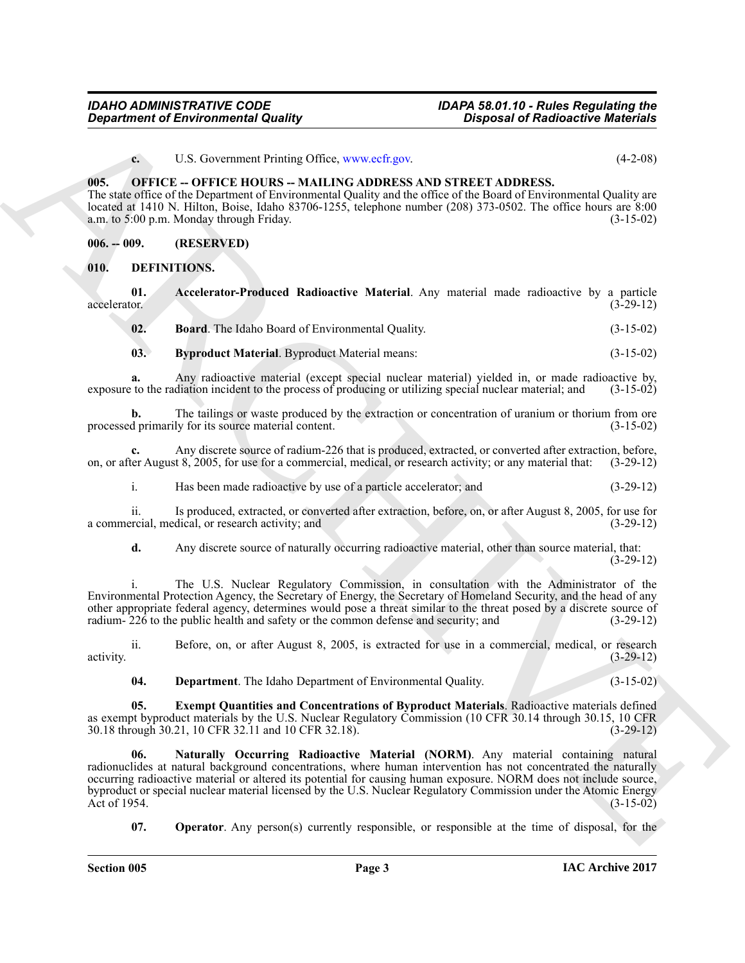<span id="page-2-11"></span>**c.** U.S. Government Printing Office, www.ecfr.gov. (4-2-08)

### <span id="page-2-0"></span>**005. OFFICE -- OFFICE HOURS -- MAILING ADDRESS AND STREET ADDRESS.**

The state office of the Department of Environmental Quality and the office of the Board of Environmental Quality are located at 1410 N. Hilton, Boise, Idaho 83706-1255, telephone number (208) 373-0502. The office hours are 8:00 a.m. to 5:00 p.m. Monday through Friday.

<span id="page-2-1"></span>**006. -- 009. (RESERVED)**

<span id="page-2-3"></span><span id="page-2-2"></span>**010. DEFINITIONS.**

**01.** Accelerator-Produced Radioactive Material. Any material made radioactive by a particle accelerator. (3-29-12) accelerator. (3-29-12)

<span id="page-2-6"></span><span id="page-2-5"></span><span id="page-2-4"></span>**02. Board**. The Idaho Board of Environmental Quality. (3-15-02)

**03. Byproduct Material**. Byproduct Material means: (3-15-02)

**a.** Any radioactive material (except special nuclear material) yielded in, or made radioactive by, to the radiation incident to the process of producing or utilizing special nuclear material; and (3-15-02) exposure to the radiation incident to the process of producing or utilizing special nuclear material; and

**b.** The tailings or waste produced by the extraction or concentration of uranium or thorium from ore d primarily for its source material content. (3-15-02) processed primarily for its source material content.

**c.** Any discrete source of radium-226 that is produced, extracted, or converted after extraction, before, ter August 8, 2005, for use for a commercial, medical, or research activity; or any material that: (3-29-12) on, or after August 8, 2005, for use for a commercial, medical, or research activity; or any material that:

i. Has been made radioactive by use of a particle accelerator; and (3-29-12)

ii. Is produced, extracted, or converted after extraction, before, on, or after August 8, 2005, for use for recial, medical, or research activity; and (3-29-12) a commercial, medical, or research activity; and

**d.** Any discrete source of naturally occurring radioactive material, other than source material, that:  $(3-29-12)$ 

i. The U.S. Nuclear Regulatory Commission, in consultation with the Administrator of the Environmental Protection Agency, the Secretary of Energy, the Secretary of Homeland Security, and the head of any other appropriate federal agency, determines would pose a threat similar to the threat posed by a discrete source of radium- 226 to the public health and safety or the common defense and security; and (3-29-12) radium- $226$  to the public health and safety or the common defense and security; and

ii. Before, on, or after August 8, 2005, is extracted for use in a commercial, medical, or research activity. (3-29-12)

<span id="page-2-9"></span><span id="page-2-8"></span><span id="page-2-7"></span>**04. Department**. The Idaho Department of Environmental Quality. (3-15-02)

**05. Exempt Quantities and Concentrations of Byproduct Materials**. Radioactive materials defined as exempt byproduct materials by the U.S. Nuclear Regulatory Commission (10 CFR 30.14 through 30.15, 10 CFR 30.18 through 30.21, 10 CFR 32.11 and 10 CFR 32.18). 30.18 through 30.21, 10 CFR 32.11 and 10 CFR 32.18).

**Construent of Environmental Quality (a)**<br>
Construction of Eurician Construction Construction Construction (4.2.0)<br>
(a) Construction Construction Construction Construction Construction (a) (4.2.0)<br>
(a) Construction Constr **06. Naturally Occurring Radioactive Material (NORM)**. Any material containing natural radionuclides at natural background concentrations, where human intervention has not concentrated the naturally occurring radioactive material or altered its potential for causing human exposure. NORM does not include source, byproduct or special nuclear material licensed by the U.S. Nuclear Regulatory Commission under the Atomic Energy Act of 1954. (3-15-02)

<span id="page-2-10"></span>**07. Operator**. Any person(s) currently responsible, or responsible at the time of disposal, for the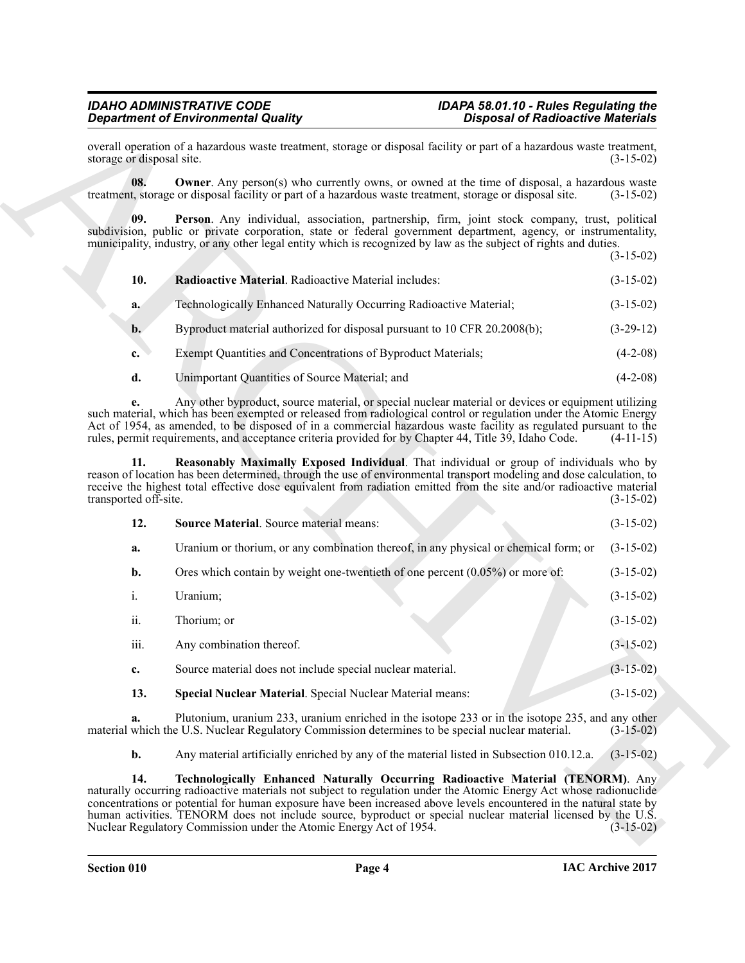### <span id="page-3-0"></span>*IDAHO ADMINISTRATIVE CODE IDAPA 58.01.10 - Rules Regulating the Department of Environmental Quality Disposal of Radioactive Materials*

<span id="page-3-6"></span><span id="page-3-5"></span><span id="page-3-4"></span><span id="page-3-3"></span><span id="page-3-2"></span><span id="page-3-1"></span>

| 10.   | <b>Radioactive Material.</b> Radioactive Material includes:               | $(3-15-02)$ |
|-------|---------------------------------------------------------------------------|-------------|
| a.    | Technologically Enhanced Naturally Occurring Radioactive Material;        | $(3-15-02)$ |
| $b$ . | Byproduct material authorized for disposal pursuant to 10 CFR 20.2008(b); | $(3-29-12)$ |
| c.    | Exempt Quantities and Concentrations of Byproduct Materials;              | $(4-2-08)$  |
| d.    | Unimportant Quantities of Source Material; and                            | $(4-2-08)$  |

|                              | <b>Department of Environmental Quality</b>                                                                                                                                                                                                                                                                                                                                                                                                             | <b>Disposal of Radioactive Materials</b> |             |
|------------------------------|--------------------------------------------------------------------------------------------------------------------------------------------------------------------------------------------------------------------------------------------------------------------------------------------------------------------------------------------------------------------------------------------------------------------------------------------------------|------------------------------------------|-------------|
| storage or disposal site.    | overall operation of a hazardous waste treatment, storage or disposal facility or part of a hazardous waste treatment,                                                                                                                                                                                                                                                                                                                                 |                                          | $(3-15-02)$ |
| 08.                          | <b>Owner</b> . Any person(s) who currently owns, or owned at the time of disposal, a hazardous waste<br>treatment, storage or disposal facility or part of a hazardous waste treatment, storage or disposal site.                                                                                                                                                                                                                                      |                                          | $(3-15-02)$ |
| 09.                          | Person. Any individual, association, partnership, firm, joint stock company, trust, political<br>subdivision, public or private corporation, state or federal government department, agency, or instrumentality,<br>municipality, industry, or any other legal entity which is recognized by law as the subject of rights and duties.                                                                                                                  |                                          | $(3-15-02)$ |
| 10.                          | Radioactive Material. Radioactive Material includes:                                                                                                                                                                                                                                                                                                                                                                                                   |                                          | $(3-15-02)$ |
| a.                           | Technologically Enhanced Naturally Occurring Radioactive Material;                                                                                                                                                                                                                                                                                                                                                                                     |                                          | $(3-15-02)$ |
| $\mathbf{b}$ .               | Byproduct material authorized for disposal pursuant to 10 CFR 20.2008(b);                                                                                                                                                                                                                                                                                                                                                                              |                                          | $(3-29-12)$ |
| c.                           | Exempt Quantities and Concentrations of Byproduct Materials;                                                                                                                                                                                                                                                                                                                                                                                           |                                          | $(4-2-08)$  |
| d.                           | Unimportant Quantities of Source Material; and                                                                                                                                                                                                                                                                                                                                                                                                         |                                          | $(4-2-08)$  |
|                              | Any other byproduct, source material, or special nuclear material or devices or equipment utilizing<br>such material, which has been exempted or released from radiological control or regulation under the Atomic Energy<br>Act of 1954, as amended, to be disposed of in a commercial hazardous waste facility as regulated pursuant to the<br>rules, permit requirements, and acceptance criteria provided for by Chapter 44, Title 39, Idaho Code. |                                          | $(4-11-15)$ |
| 11.<br>transported off-site. | Reasonably Maximally Exposed Individual. That individual or group of individuals who by<br>reason of location has been determined, through the use of environmental transport modeling and dose calculation, to<br>receive the highest total effective dose equivalent from radiation emitted from the site and/or radioactive material                                                                                                                |                                          | $(3-15-02)$ |
| 12.                          | <b>Source Material.</b> Source material means:                                                                                                                                                                                                                                                                                                                                                                                                         |                                          | $(3-15-02)$ |
| a.                           | Uranium or thorium, or any combination thereof, in any physical or chemical form; or                                                                                                                                                                                                                                                                                                                                                                   |                                          | $(3-15-02)$ |
| b.                           | Ores which contain by weight one-twentieth of one percent $(0.05\%)$ or more of:                                                                                                                                                                                                                                                                                                                                                                       |                                          | $(3-15-02)$ |
| i.                           | Uranium;                                                                                                                                                                                                                                                                                                                                                                                                                                               |                                          | $(3-15-02)$ |
| ii.                          | Thorium; or                                                                                                                                                                                                                                                                                                                                                                                                                                            |                                          | $(3-15-02)$ |
| iii.                         | Any combination thereof.                                                                                                                                                                                                                                                                                                                                                                                                                               |                                          | $(3-15-02)$ |
| c.                           | Source material does not include special nuclear material.                                                                                                                                                                                                                                                                                                                                                                                             |                                          | $(3-15-02)$ |
| 13.                          | Special Nuclear Material. Special Nuclear Material means:                                                                                                                                                                                                                                                                                                                                                                                              |                                          | $(3-15-02)$ |
| a.                           | Plutonium, uranium 233, uranium enriched in the isotope 233 or in the isotope 235, and any other<br>material which the U.S. Nuclear Regulatory Commission determines to be special nuclear material.                                                                                                                                                                                                                                                   |                                          | $(3-15-02)$ |
| b.                           | Any material artificially enriched by any of the material listed in Subsection 010.12.a.                                                                                                                                                                                                                                                                                                                                                               |                                          | $(3-15-02)$ |
| 14.                          | Technologically Enhanced Naturally Occurring Radioactive Material (TENORM). Any<br>naturally occurring radioactive materials not subject to regulation under the Atomic Energy Act whose radionuclide<br>concentrations or potential for human exposure have been increased above levels encountered in the natural state by<br>human activities. TENORM does not include source, byproduct or special nuclear material licensed by the U.S.           |                                          |             |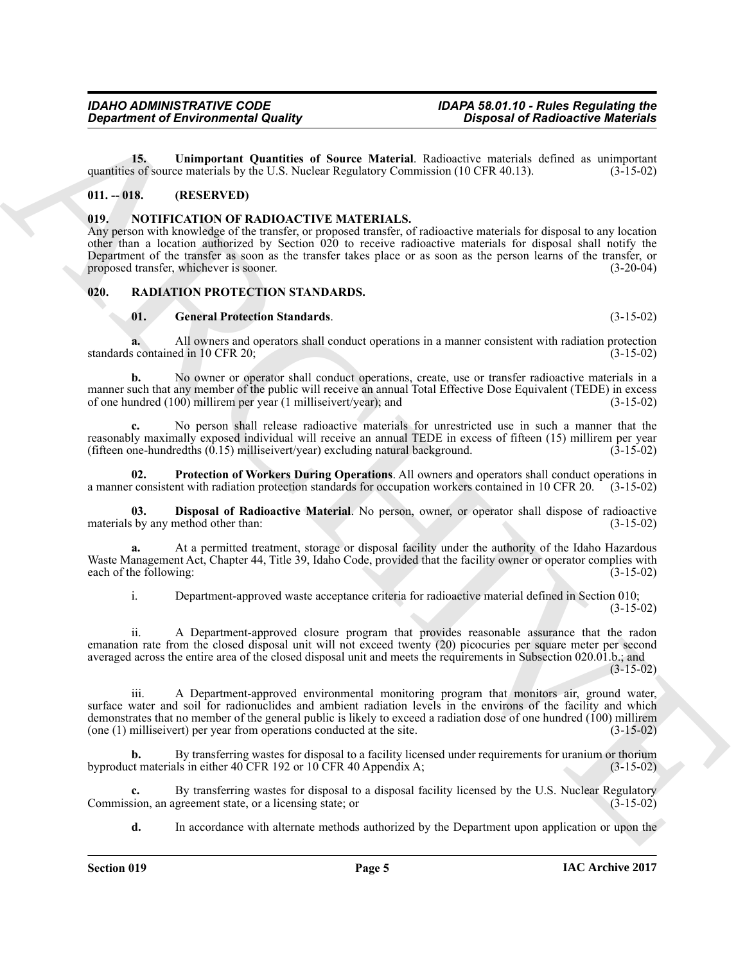<span id="page-4-3"></span>**15. Unimportant Quantities of Source Material**. Radioactive materials defined as unimportant so of source materials by the U.S. Nuclear Regulatory Commission (10 CFR 40.13). (3-15-02) quantities of source materials by the U.S. Nuclear Regulatory Commission (10 CFR 40.13).

### <span id="page-4-0"></span>**011. -- 018. (RESERVED)**

### <span id="page-4-4"></span><span id="page-4-1"></span>**019. NOTIFICATION OF RADIOACTIVE MATERIALS.**

Any person with knowledge of the transfer, or proposed transfer, of radioactive materials for disposal to any location other than a location authorized by Section 020 to receive radioactive materials for disposal shall notify the Department of the transfer as soon as the transfer takes place or as soon as the person learns of the transfer, or proposed transfer, whichever is sooner. (3-20-04)

### <span id="page-4-2"></span>**020. RADIATION PROTECTION STANDARDS.**

### <span id="page-4-7"></span><span id="page-4-5"></span>**01. General Protection Standards**. (3-15-02)

**a.** All owners and operators shall conduct operations in a manner consistent with radiation protection scontained in 10 CFR 20: (3-15-02) standards contained in 10 CFR 20;

**b.** No owner or operator shall conduct operations, create, use or transfer radioactive materials in a manner such that any member of the public will receive an annual Total Effective Dose Equivalent (TEDE) in excess of one hundred (100) millirem per year (1 milliseivert/year); and (3-15-02) of one hundred  $(100)$  millirem per year  $(1)$  milliseivert/year); and

**c.** No person shall release radioactive materials for unrestricted use in such a manner that the reasonably maximally exposed individual will receive an annual TEDE in excess of fifteen (15) millirem per year<br>(15-15-02) (3-15-02) (3-15-02) excluding natural background. (fifteen one-hundredths  $(0.15)$  milliseivert/year) excluding natural background.

<span id="page-4-8"></span>**02. Protection of Workers During Operations**. All owners and operators shall conduct operations in a manner consistent with radiation protection standards for occupation workers contained in 10 CFR 20. (3-15-02)

<span id="page-4-6"></span>**03. Disposal of Radioactive Material**. No person, owner, or operator shall dispose of radioactive is by any method other than: (3-15-02) materials by any method other than:

**a.** At a permitted treatment, storage or disposal facility under the authority of the Idaho Hazardous Waste Management Act, Chapter 44, Title 39, Idaho Code, provided that the facility owner or operator complies with each of the following: (3-15-02) each of the following:

i. Department-approved waste acceptance criteria for radioactive material defined in Section 010;

(3-15-02)

ii. A Department-approved closure program that provides reasonable assurance that the radon emanation rate from the closed disposal unit will not exceed twenty (20) picocuries per square meter per second averaged across the entire area of the closed disposal unit and meets the requirements in Subsection 020.01.b.; and  $(3-15-02)$ 

*Great from 6 of Eurinopedia Guality*<br> **Conserversion of Eurinopedia Guality**<br>
15. Unimage to Conserversion is plane to the same Material, Salaronto and the same is a summarized of the same of the same of the same of th iii. A Department-approved environmental monitoring program that monitors air, ground water, surface water and soil for radionuclides and ambient radiation levels in the environs of the facility and which demonstrates that no member of the general public is likely to exceed a radiation dose of one hundred (100) millirem<br>(one (1) milliseivert) per year from operations conducted at the site. (3-15-02)  $(one (1)$  milliseivert) per year from operations conducted at the site.

**b.** By transferring wastes for disposal to a facility licensed under requirements for uranium or thorium byproduct materials in either 40 CFR 192 or 10 CFR 40 Appendix A; (3-15-02)

By transferring wastes for disposal to a disposal facility licensed by the U.S. Nuclear Regulatory greement state, or a licensing state; or Commission, an agreement state, or a licensing state; or

**d.** In accordance with alternate methods authorized by the Department upon application or upon the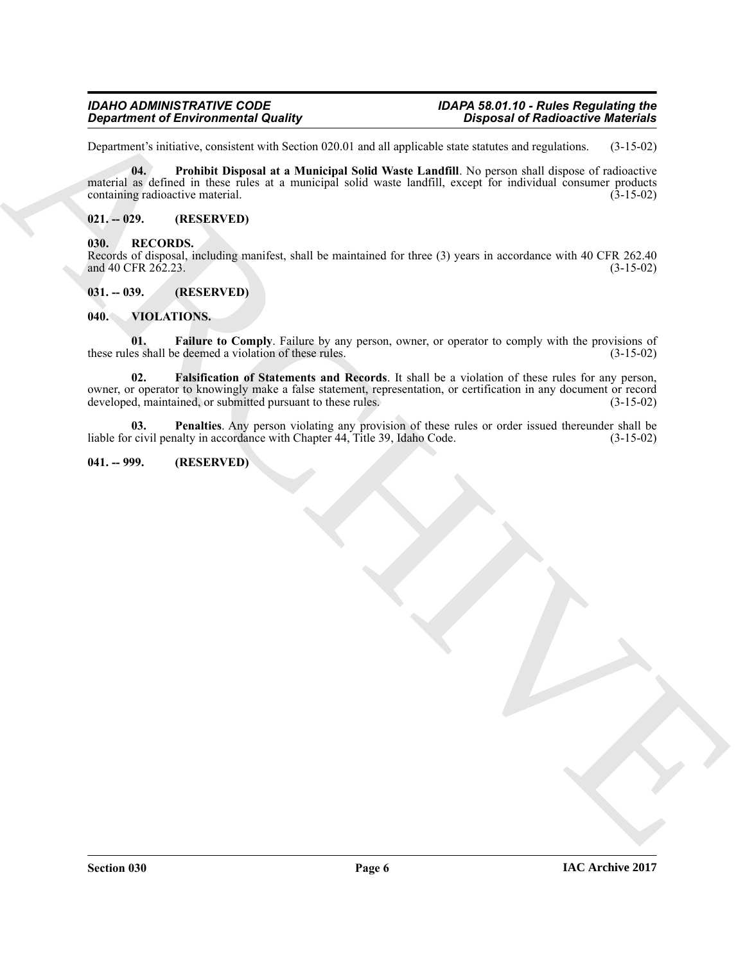# *Department of Environmental Quality Disposal of Radioactive Materials*

Department's initiative, consistent with Section 020.01 and all applicable state statutes and regulations. (3-15-02)

<span id="page-5-5"></span>**04. Prohibit Disposal at a Municipal Solid Waste Landfill**. No person shall dispose of radioactive material as defined in these rules at a municipal solid waste landfill, except for individual consumer products containing radioactive material. (3-15-02) containing radioactive material.

### <span id="page-5-0"></span>**021. -- 029. (RESERVED)**

### <span id="page-5-6"></span><span id="page-5-1"></span>**030. RECORDS.**

Records of disposal, including manifest, shall be maintained for three (3) years in accordance with 40 CFR 262.40 and 40 CFR 262.23. (3-15-02) and 40 CFR 262.23.

### <span id="page-5-2"></span>**031. -- 039. (RESERVED)**

### <span id="page-5-7"></span><span id="page-5-3"></span>**040. VIOLATIONS.**

<span id="page-5-9"></span><span id="page-5-8"></span>**01.** Failure to Comply. Failure by any person, owner, or operator to comply with the provisions of es shall be deemed a violation of these rules. (3-15-02) these rules shall be deemed a violation of these rules.

**Equation of Environmental Quality**<br>
Department of Environmental Quality<br>
Department of Environmental States (2010) and all systems that the same of diproced realistical<br>
milion of the Procedure of the Manuscript State (2 **02. Falsification of Statements and Records**. It shall be a violation of these rules for any person, owner, or operator to knowingly make a false statement, representation, or certification in any document or record developed, maintained, or submitted pursuant to these rules. (3-15-02) developed, maintained, or submitted pursuant to these rules.

<span id="page-5-10"></span>**03. Penalties**. Any person violating any provision of these rules or order issued thereunder shall be liable for civil penalty in accordance with Chapter 44, Title 39, Idaho Code. (3-15-02)

### <span id="page-5-4"></span>**041. -- 999. (RESERVED)**